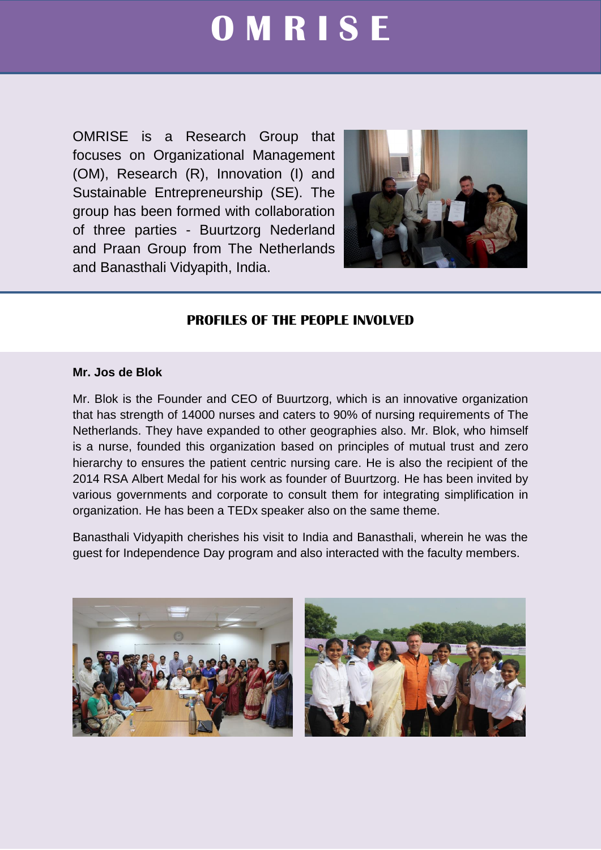# **O M R I S E**

OMRISE is a Research Group that focuses on Organizational Management (OM), Research (R), Innovation (I) and Sustainable Entrepreneurship (SE). The group has been formed with collaboration of three parties - Buurtzorg Nederland and Praan Group from The Netherlands and Banasthali Vidyapith, India.



## **PROFILES OF THE PEOPLE INVOLVED**

### **Mr. Jos de Blok**

Mr. Blok is the Founder and CEO of Buurtzorg, which is an innovative organization that has strength of 14000 nurses and caters to 90% of nursing requirements of The Netherlands. They have expanded to other geographies also. Mr. Blok, who himself is a nurse, founded this organization based on principles of mutual trust and zero hierarchy to ensures the patient centric nursing care. He is also the recipient of the 2014 RSA Albert Medal for his work as founder of Buurtzorg. He has been invited by various governments and corporate to consult them for integrating simplification in organization. He has been a TEDx speaker also on the same theme.

Banasthali Vidyapith cherishes his visit to India and Banasthali, wherein he was the guest for Independence Day program and also interacted with the faculty members.



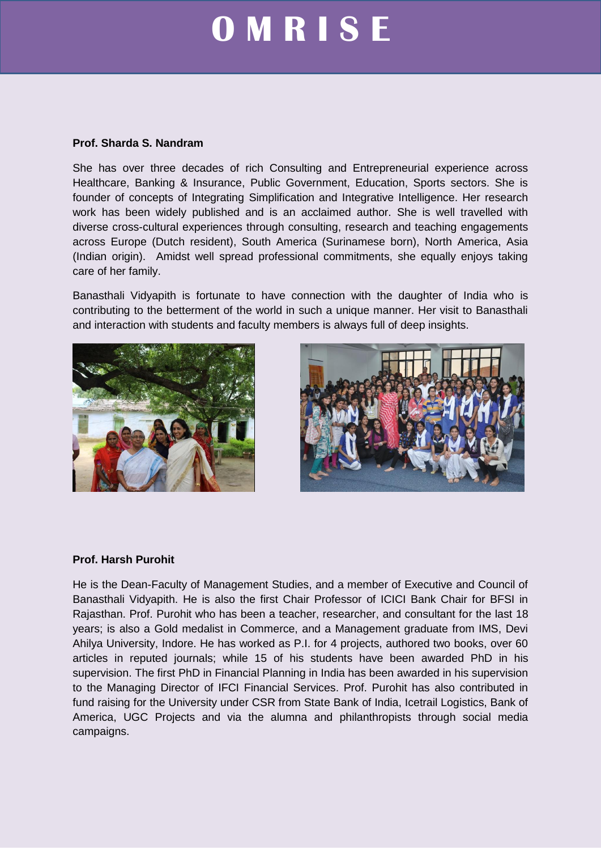# **O M R I S E**

#### **Prof. Sharda S. Nandram**

She has over three decades of rich Consulting and Entrepreneurial experience across Healthcare, Banking & Insurance, Public Government, Education, Sports sectors. She is founder of concepts of Integrating Simplification and Integrative Intelligence. Her research work has been widely published and is an acclaimed author. She is well travelled with diverse cross-cultural experiences through consulting, research and teaching engagements across Europe (Dutch resident), South America (Surinamese born), North America, Asia (Indian origin). Amidst well spread professional commitments, she equally enjoys taking care of her family.

Banasthali Vidyapith is fortunate to have connection with the daughter of India who is contributing to the betterment of the world in such a unique manner. Her visit to Banasthali and interaction with students and faculty members is always full of deep insights.





### **Prof. Harsh Purohit**

He is the Dean-Faculty of Management Studies, and a member of Executive and Council of Banasthali Vidyapith. He is also the first Chair Professor of ICICI Bank Chair for BFSI in Rajasthan. Prof. Purohit who has been a teacher, researcher, and consultant for the last 18 years; is also a Gold medalist in Commerce, and a Management graduate from IMS, Devi Ahilya University, Indore. He has worked as P.I. for 4 projects, authored two books, over 60 articles in reputed journals; while 15 of his students have been awarded PhD in his supervision. The first PhD in Financial Planning in India has been awarded in his supervision to the Managing Director of IFCI Financial Services. Prof. Purohit has also contributed in fund raising for the University under CSR from State Bank of India, Icetrail Logistics, Bank of America, UGC Projects and via the alumna and philanthropists through social media campaigns.